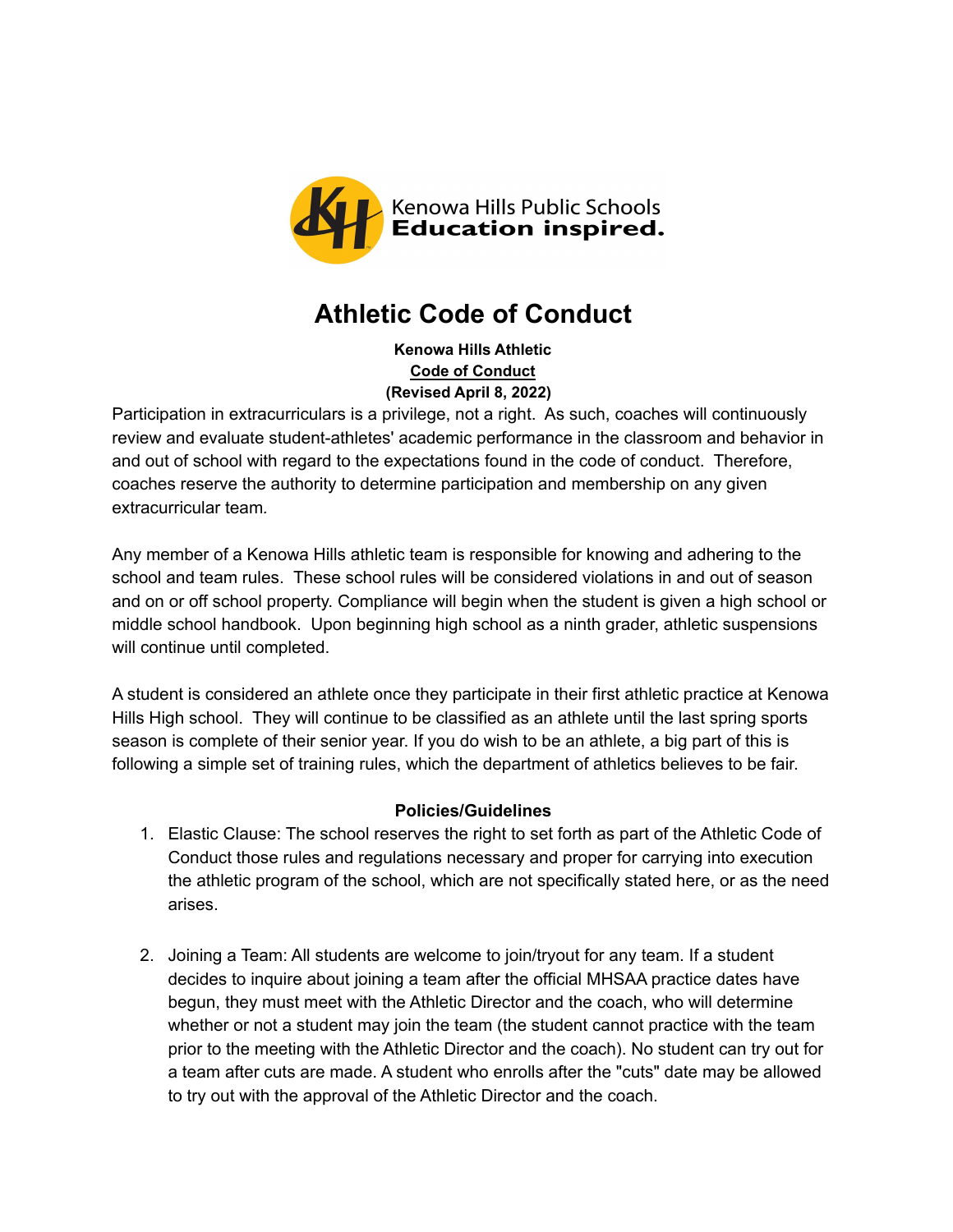

# **Athletic Code of Conduct**

**Kenowa Hills Athletic [Code of Conduct](http://www.khps.org/index.php/download_file/view/1144/905/) (Revised April 8, 2022)**

Participation in extracurriculars is a privilege, not a right. As such, coaches will continuously review and evaluate student-athletes' academic performance in the classroom and behavior in and out of school with regard to the expectations found in the code of conduct. Therefore, coaches reserve the authority to determine participation and membership on any given extracurricular team*.*

Any member of a Kenowa Hills athletic team is responsible for knowing and adhering to the school and team rules. These school rules will be considered violations in and out of season and on or off school property. Compliance will begin when the student is given a high school or middle school handbook. Upon beginning high school as a ninth grader, athletic suspensions will continue until completed.

A student is considered an athlete once they participate in their first athletic practice at Kenowa Hills High school. They will continue to be classified as an athlete until the last spring sports season is complete of their senior year. If you do wish to be an athlete, a big part of this is following a simple set of training rules, which the department of athletics believes to be fair.

# **Policies/Guidelines**

- 1. Elastic Clause: The school reserves the right to set forth as part of the Athletic Code of Conduct those rules and regulations necessary and proper for carrying into execution the athletic program of the school, which are not specifically stated here, or as the need arises.
- 2. Joining a Team: All students are welcome to join/tryout for any team. If a student decides to inquire about joining a team after the official MHSAA practice dates have begun, they must meet with the Athletic Director and the coach, who will determine whether or not a student may join the team (the student cannot practice with the team prior to the meeting with the Athletic Director and the coach). No student can try out for a team after cuts are made. A student who enrolls after the "cuts" date may be allowed to try out with the approval of the Athletic Director and the coach.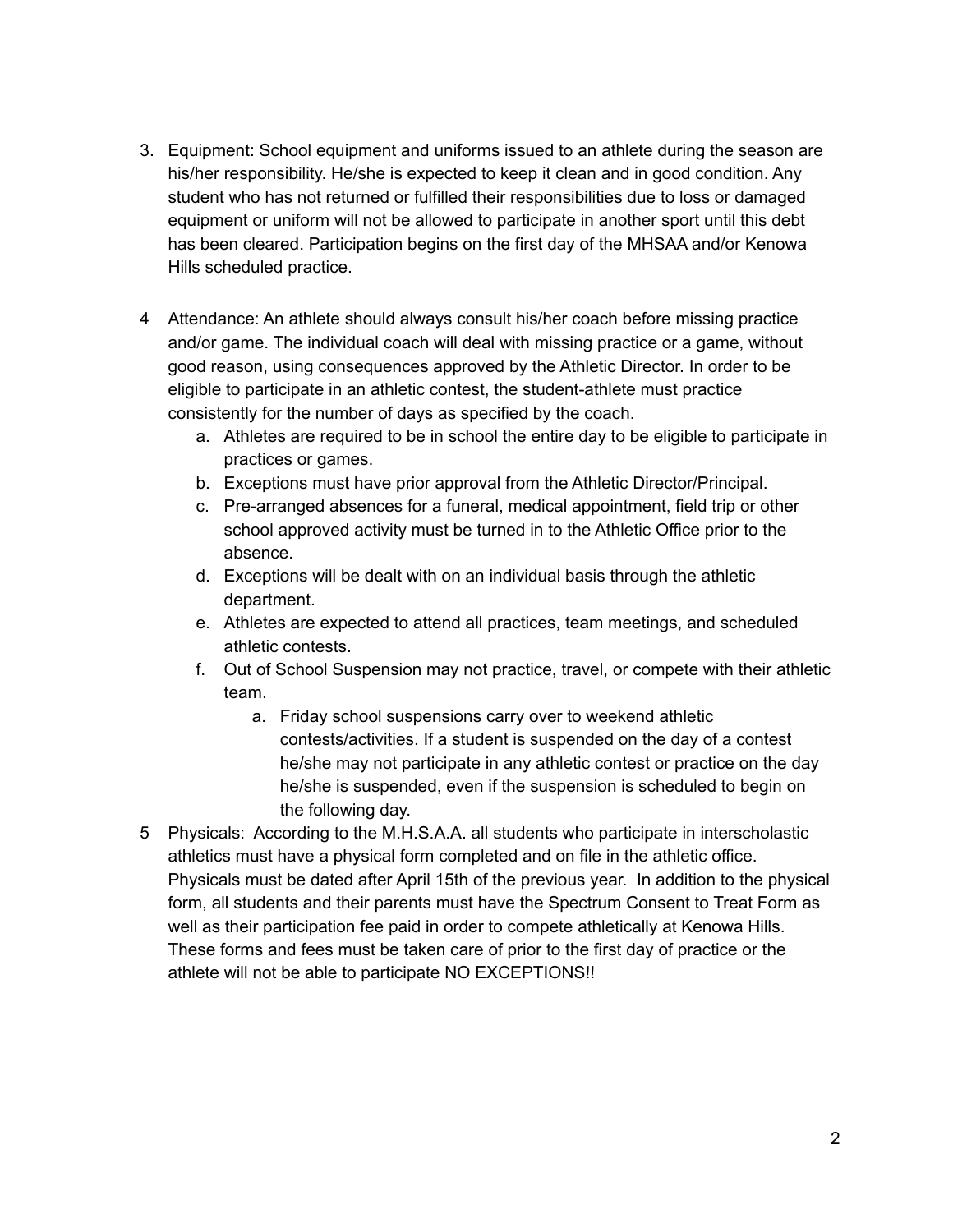- 3. Equipment: School equipment and uniforms issued to an athlete during the season are his/her responsibility. He/she is expected to keep it clean and in good condition. Any student who has not returned or fulfilled their responsibilities due to loss or damaged equipment or uniform will not be allowed to participate in another sport until this debt has been cleared. Participation begins on the first day of the MHSAA and/or Kenowa Hills scheduled practice.
- 4 Attendance: An athlete should always consult his/her coach before missing practice and/or game. The individual coach will deal with missing practice or a game, without good reason, using consequences approved by the Athletic Director. In order to be eligible to participate in an athletic contest, the student-athlete must practice consistently for the number of days as specified by the coach.
	- a. Athletes are required to be in school the entire day to be eligible to participate in practices or games.
	- b. Exceptions must have prior approval from the Athletic Director/Principal.
	- c. Pre-arranged absences for a funeral, medical appointment, field trip or other school approved activity must be turned in to the Athletic Office prior to the absence.
	- d. Exceptions will be dealt with on an individual basis through the athletic department.
	- e. Athletes are expected to attend all practices, team meetings, and scheduled athletic contests.
	- f. Out of School Suspension may not practice, travel, or compete with their athletic team.
		- a. Friday school suspensions carry over to weekend athletic contests/activities. If a student is suspended on the day of a contest he/she may not participate in any athletic contest or practice on the day he/she is suspended, even if the suspension is scheduled to begin on the following day.
- 5 Physicals: According to the M.H.S.A.A. all students who participate in interscholastic athletics must have a physical form completed and on file in the athletic office. Physicals must be dated after April 15th of the previous year. In addition to the physical form, all students and their parents must have the Spectrum Consent to Treat Form as well as their participation fee paid in order to compete athletically at Kenowa Hills. These forms and fees must be taken care of prior to the first day of practice or the athlete will not be able to participate NO EXCEPTIONS!!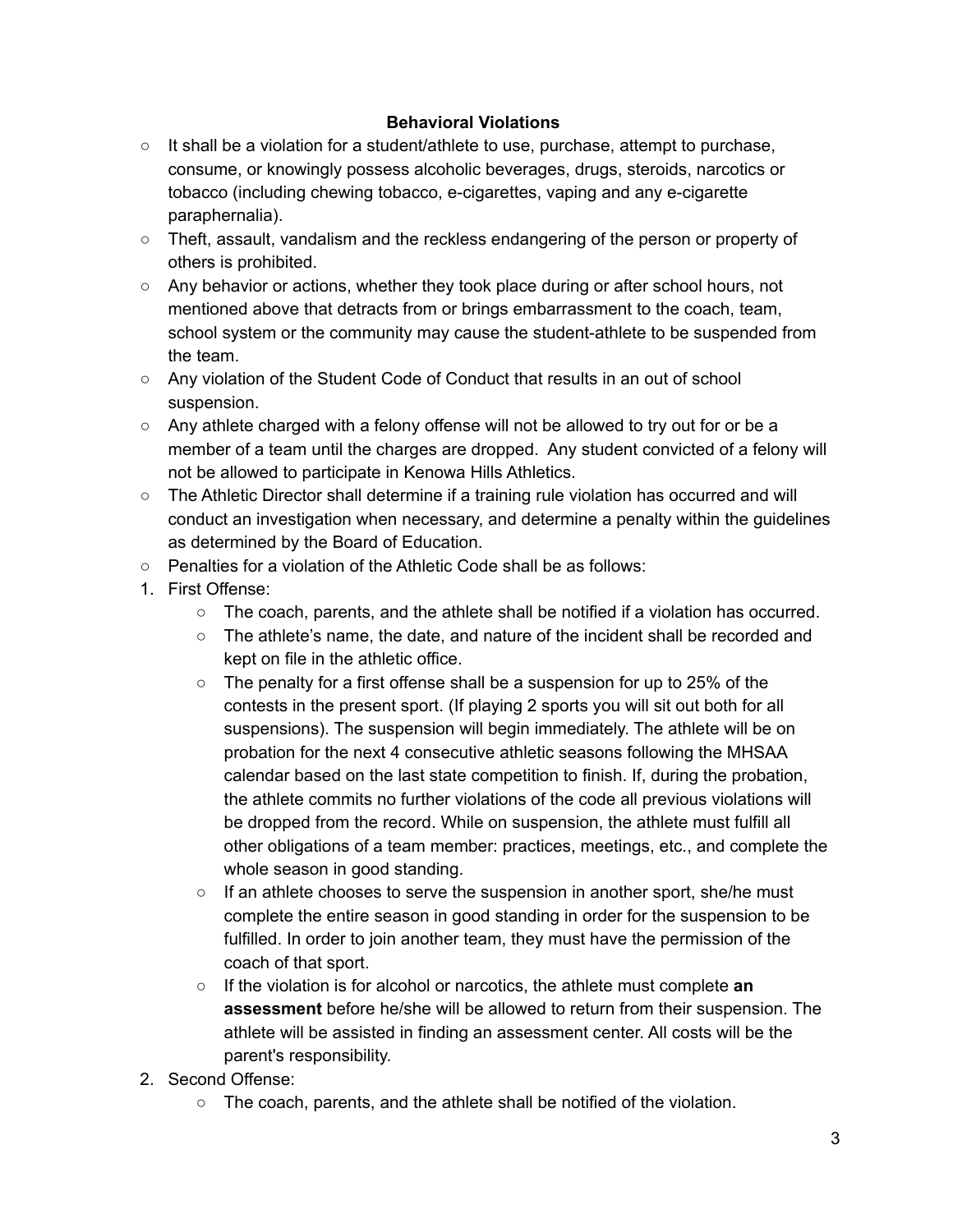# **Behavioral Violations**

- It shall be a violation for a student/athlete to use, purchase, attempt to purchase, consume, or knowingly possess alcoholic beverages, drugs, steroids, narcotics or tobacco (including chewing tobacco, e-cigarettes, vaping and any e-cigarette paraphernalia).
- Theft, assault, vandalism and the reckless endangering of the person or property of others is prohibited.
- Any behavior or actions, whether they took place during or after school hours, not mentioned above that detracts from or brings embarrassment to the coach, team, school system or the community may cause the student-athlete to be suspended from the team.
- Any violation of the Student Code of Conduct that results in an out of school suspension.
- $\circ$  Any athlete charged with a felony offense will not be allowed to try out for or be a member of a team until the charges are dropped. Any student convicted of a felony will not be allowed to participate in Kenowa Hills Athletics.
- The Athletic Director shall determine if a training rule violation has occurred and will conduct an investigation when necessary, and determine a penalty within the guidelines as determined by the Board of Education.
- Penalties for a violation of the Athletic Code shall be as follows:
- 1. First Offense:
	- $\circ$  The coach, parents, and the athlete shall be notified if a violation has occurred.
	- The athlete's name, the date, and nature of the incident shall be recorded and kept on file in the athletic office.
	- $\circ$  The penalty for a first offense shall be a suspension for up to 25% of the contests in the present sport. (If playing 2 sports you will sit out both for all suspensions). The suspension will begin immediately. The athlete will be on probation for the next 4 consecutive athletic seasons following the MHSAA calendar based on the last state competition to finish. If, during the probation, the athlete commits no further violations of the code all previous violations will be dropped from the record. While on suspension, the athlete must fulfill all other obligations of a team member: practices, meetings, etc., and complete the whole season in good standing.
	- $\circ$  If an athlete chooses to serve the suspension in another sport, she/he must complete the entire season in good standing in order for the suspension to be fulfilled. In order to join another team, they must have the permission of the coach of that sport.
	- If the violation is for alcohol or narcotics, the athlete must complete **an assessment** before he/she will be allowed to return from their suspension. The athlete will be assisted in finding an assessment center. All costs will be the parent's responsibility.
- 2. Second Offense:
	- The coach, parents, and the athlete shall be notified of the violation.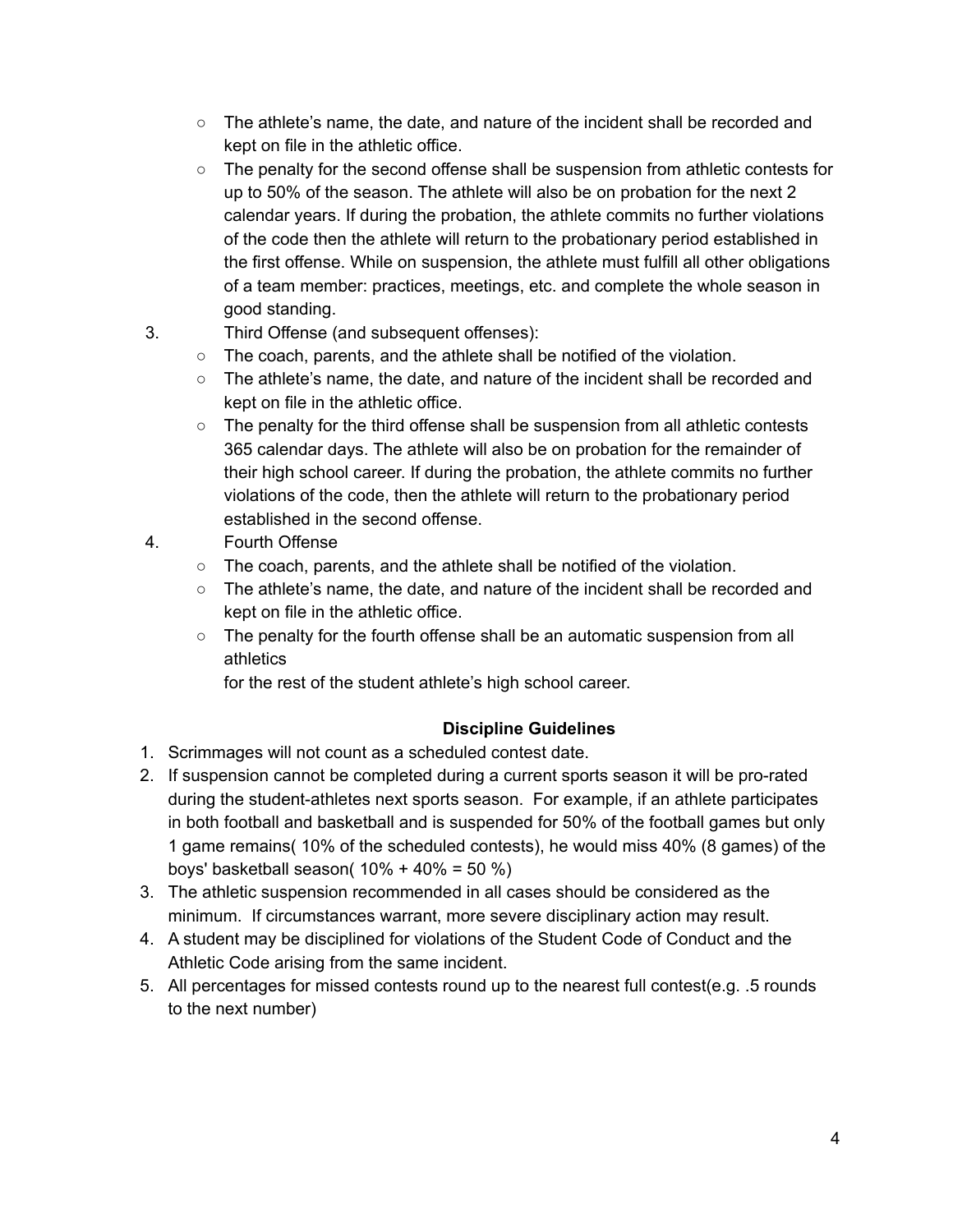- $\circ$  The athlete's name, the date, and nature of the incident shall be recorded and kept on file in the athletic office.
- The penalty for the second offense shall be suspension from athletic contests for up to 50% of the season. The athlete will also be on probation for the next 2 calendar years. If during the probation, the athlete commits no further violations of the code then the athlete will return to the probationary period established in the first offense. While on suspension, the athlete must fulfill all other obligations of a team member: practices, meetings, etc. and complete the whole season in good standing.
- 3. Third Offense (and subsequent offenses):
	- The coach, parents, and the athlete shall be notified of the violation.
	- The athlete's name, the date, and nature of the incident shall be recorded and kept on file in the athletic office.
	- $\circ$  The penalty for the third offense shall be suspension from all athletic contests 365 calendar days. The athlete will also be on probation for the remainder of their high school career. If during the probation, the athlete commits no further violations of the code, then the athlete will return to the probationary period established in the second offense.
- 4. Fourth Offense
	- The coach, parents, and the athlete shall be notified of the violation.
	- The athlete's name, the date, and nature of the incident shall be recorded and kept on file in the athletic office.
	- $\circ$  The penalty for the fourth offense shall be an automatic suspension from all athletics

for the rest of the student athlete's high school career.

# **Discipline Guidelines**

- 1. Scrimmages will not count as a scheduled contest date.
- 2. If suspension cannot be completed during a current sports season it will be pro-rated during the student-athletes next sports season. For example, if an athlete participates in both football and basketball and is suspended for 50% of the football games but only 1 game remains( 10% of the scheduled contests), he would miss 40% (8 games) of the boys' basketball season( 10% + 40% = 50 %)
- 3. The athletic suspension recommended in all cases should be considered as the minimum. If circumstances warrant, more severe disciplinary action may result.
- 4. A student may be disciplined for violations of the Student Code of Conduct and the Athletic Code arising from the same incident.
- 5. All percentages for missed contests round up to the nearest full contest(e.g. .5 rounds to the next number)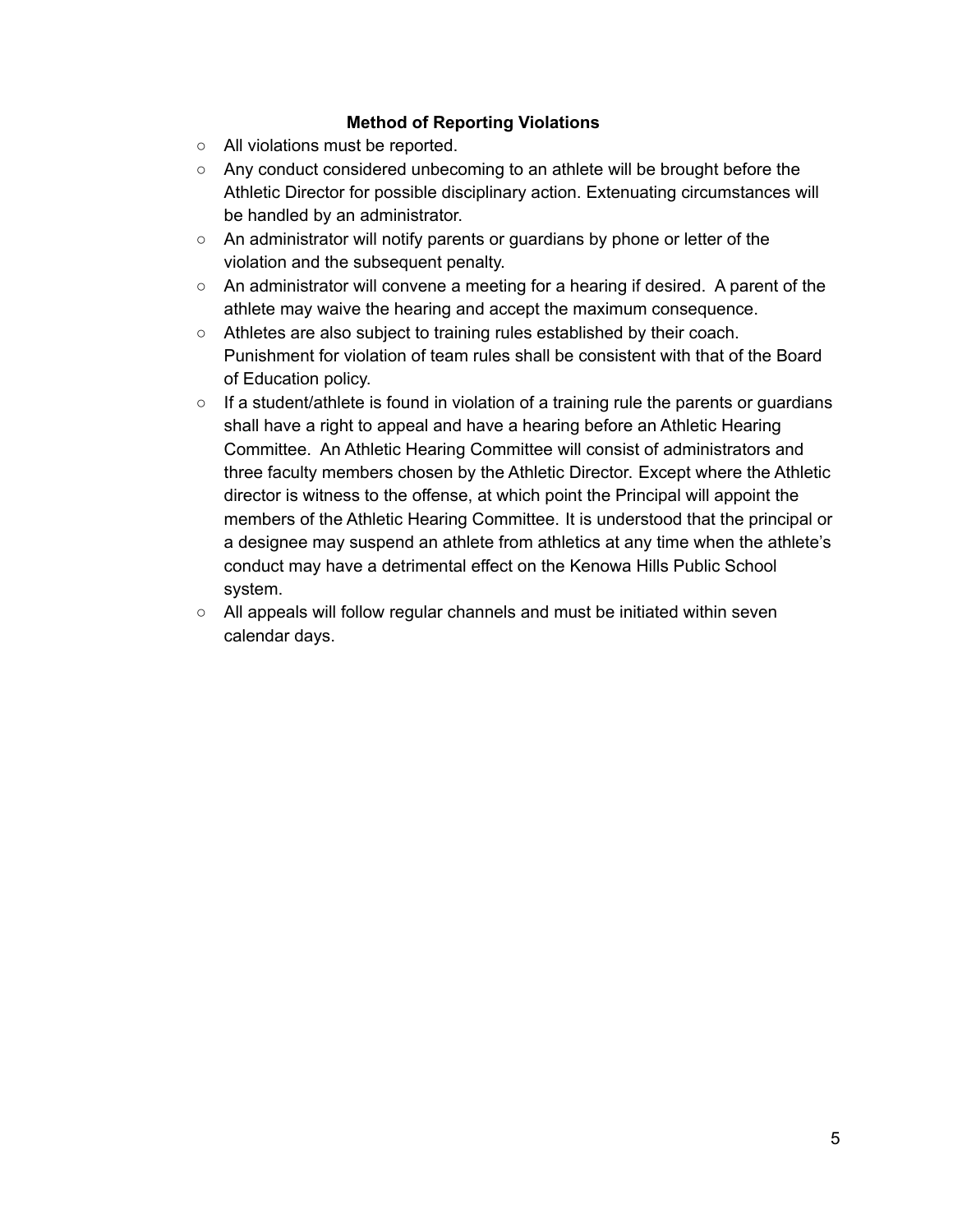# **Method of Reporting Violations**

- All violations must be reported.
- Any conduct considered unbecoming to an athlete will be brought before the Athletic Director for possible disciplinary action. Extenuating circumstances will be handled by an administrator.
- An administrator will notify parents or guardians by phone or letter of the violation and the subsequent penalty.
- $\circ$  An administrator will convene a meeting for a hearing if desired. A parent of the athlete may waive the hearing and accept the maximum consequence.
- Athletes are also subject to training rules established by their coach. Punishment for violation of team rules shall be consistent with that of the Board of Education policy.
- If a student/athlete is found in violation of a training rule the parents or guardians shall have a right to appeal and have a hearing before an Athletic Hearing Committee. An Athletic Hearing Committee will consist of administrators and three faculty members chosen by the Athletic Director. Except where the Athletic director is witness to the offense, at which point the Principal will appoint the members of the Athletic Hearing Committee. It is understood that the principal or a designee may suspend an athlete from athletics at any time when the athlete's conduct may have a detrimental effect on the Kenowa Hills Public School system.
- All appeals will follow regular channels and must be initiated within seven calendar days.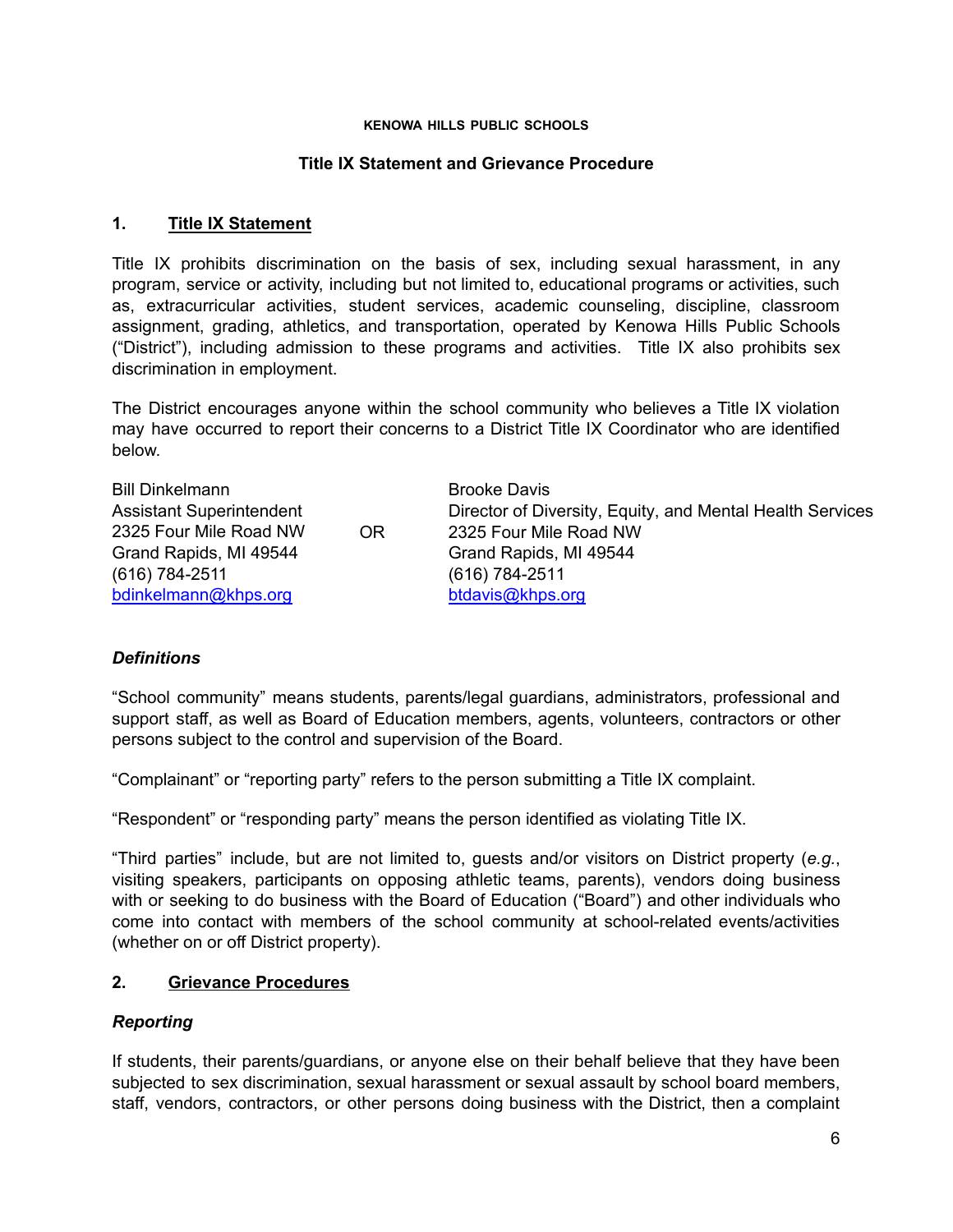#### **KENOWA HILLS PUBLIC SCHOOLS**

#### **Title IX Statement and Grievance Procedure**

#### **1. Title IX Statement**

Title IX prohibits discrimination on the basis of sex, including sexual harassment, in any program, service or activity, including but not limited to, educational programs or activities, such as, extracurricular activities, student services, academic counseling, discipline, classroom assignment, grading, athletics, and transportation, operated by Kenowa Hills Public Schools ("District"), including admission to these programs and activities. Title IX also prohibits sex discrimination in employment.

The District encourages anyone within the school community who believes a Title IX violation may have occurred to report their concerns to a District Title IX Coordinator who are identified below.

| <b>Bill Dinkelmann</b>          |     | <b>Brooke Davis</b>                                       |
|---------------------------------|-----|-----------------------------------------------------------|
| <b>Assistant Superintendent</b> |     | Director of Diversity, Equity, and Mental Health Services |
| 2325 Four Mile Road NW          | OR. | 2325 Four Mile Road NW                                    |
| Grand Rapids, MI 49544          |     | Grand Rapids, MI 49544                                    |
| (616) 784-2511                  |     | (616) 784-2511                                            |
| bdinkelmann@khps.org            |     | btdavis@khps.org                                          |

### *Definitions*

"School community" means students, parents/legal guardians, administrators, professional and support staff, as well as Board of Education members, agents, volunteers, contractors or other persons subject to the control and supervision of the Board.

"Complainant" or "reporting party" refers to the person submitting a Title IX complaint.

"Respondent" or "responding party" means the person identified as violating Title IX.

"Third parties" include, but are not limited to, guests and/or visitors on District property (*e.g.*, visiting speakers, participants on opposing athletic teams, parents), vendors doing business with or seeking to do business with the Board of Education ("Board") and other individuals who come into contact with members of the school community at school-related events/activities (whether on or off District property).

### **2. Grievance Procedures**

### *Reporting*

If students, their parents/guardians, or anyone else on their behalf believe that they have been subjected to sex discrimination, sexual harassment or sexual assault by school board members, staff, vendors, contractors, or other persons doing business with the District, then a complaint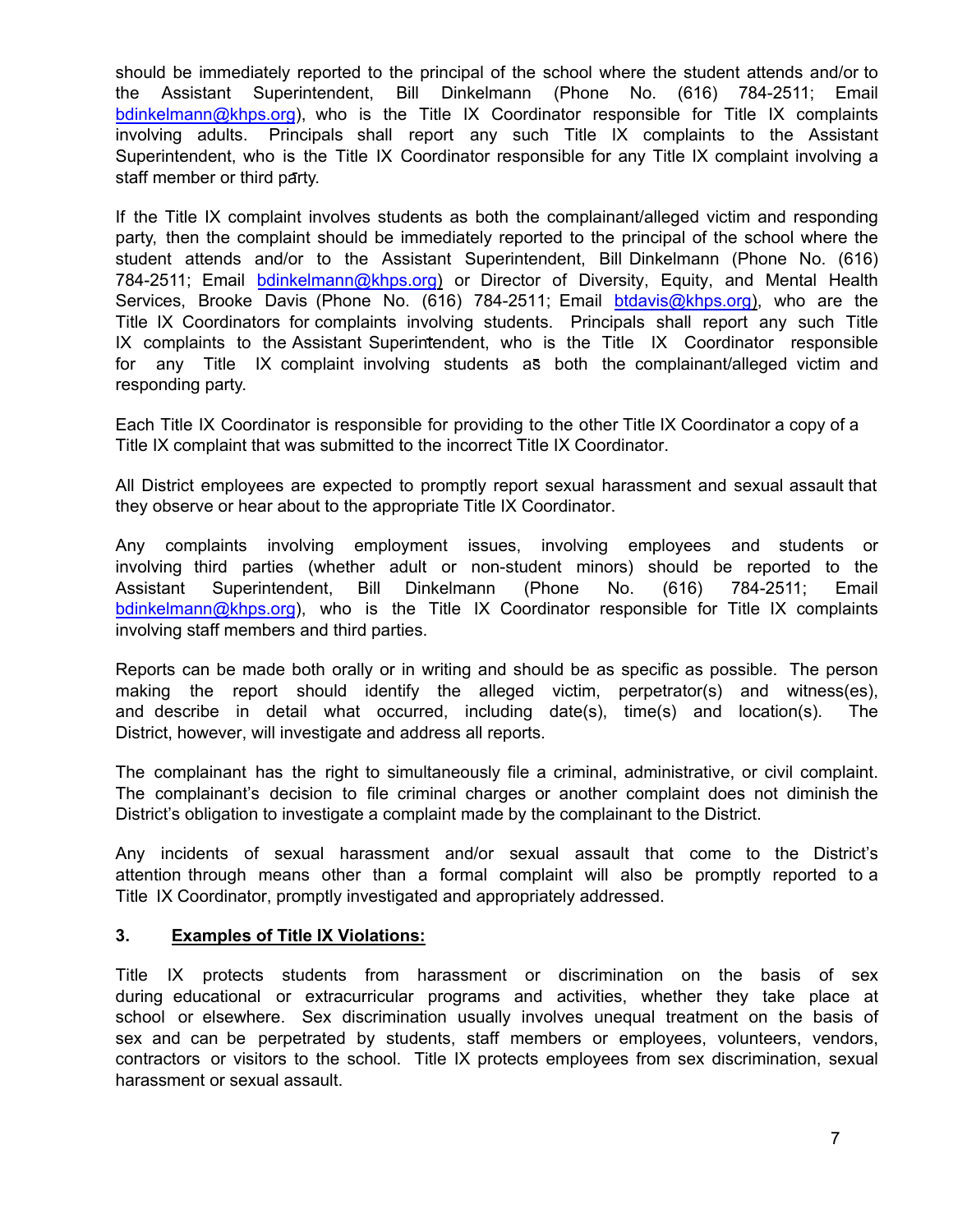should be immediately reported to the principal of the school where the student attends and/or to the Assistant Superintendent, Bill Dinkelmann (Phone No. (616) 784-2511; Email bdinkelmann@khps.org), who is the Title IX Coordinator responsible for Title IX complaints involving adults. Principals shall report any such Title IX complaints to the Assistant Superintendent, who is the Title IX Coordinator responsible for any Titl[e IX complaint invol](mailto:ghopkins@khps.org)ving a staff member or third party.

If the Title IX complaint involves students as both the complainant/alleged victim and responding party, then the complaint should be immediately reported to the principal of the school where the student attends and/or to the Assistant Superintendent, Bill Dinkelmann (Phone No. (616) 784-2511; Email bdinkelmann@khps.org) or Director of Diversity, Equity, and Mental Health Services, [Brooke Davis](mailto:ghopkins@khps.org) (Phone No. (616) 784-2511; Email btdavis@khps.org), who are the Title IX Coordinators for [complaint](mailto:chorner@khps.org)s involving students. Principals shall report any such Title IX complaints to the Assistant Superintendent, who is the Title IX Coordinator responsible for any Title IX complaint involving students as both the complainant/alleged victim and responding party.

Each Title IX Coordinator is responsible for providing to the other Title IX Coordinator a copy of a Title IX complaint that was submitted to the incorrect Title IX Coordinator.

All District employees are expected to promptly report sexual harassment and sexual assault that they observe or hear about to the appropriate Title IX Coordinator.

Any complaints involving employment issues, involving employees and students or involving third parties (whether adult or non-student minors) should be reported to the Assistant Superintendent, Bill Dinkelmann (Phone No. (616) 784-2511; Email bdinkelmann@khps.org), who is the Title IX Co[ordinator responsibl](mailto:ghopkins@khps.org)e for Title IX complaints involving staff members and third parties.

Reports can be made both orally or in writing and should be as specific as possible. The person making the report should identify the alleged victim, perpetrator(s) and witness(es), and describe in detail what occurred, including date(s), time(s) and location(s). The District, however, will investigate and address all reports.

The complainant has the right to simultaneously file a criminal, administrative, or civil complaint. The complainant's decision to file criminal charges or another complaint does not diminish the District's obligation to investigate a complaint made by the complainant to the District.

Any incidents of sexual harassment and/or sexual assault that come to the District's attention through means other than a formal complaint will also be promptly reported to a Title IX Coordinator, promptly investigated and appropriately addressed.

#### **3. Examples of Title IX Violations:**

Title IX protects students from harassment or discrimination on the basis of sex during educational or extracurricular programs and activities, whether they take place at school or elsewhere. Sex discrimination usually involves unequal treatment on the basis of sex and can be perpetrated by students, staff members or employees, volunteers, vendors, contractors or visitors to the school. Title IX protects employees from sex discrimination, sexual harassment or sexual assault.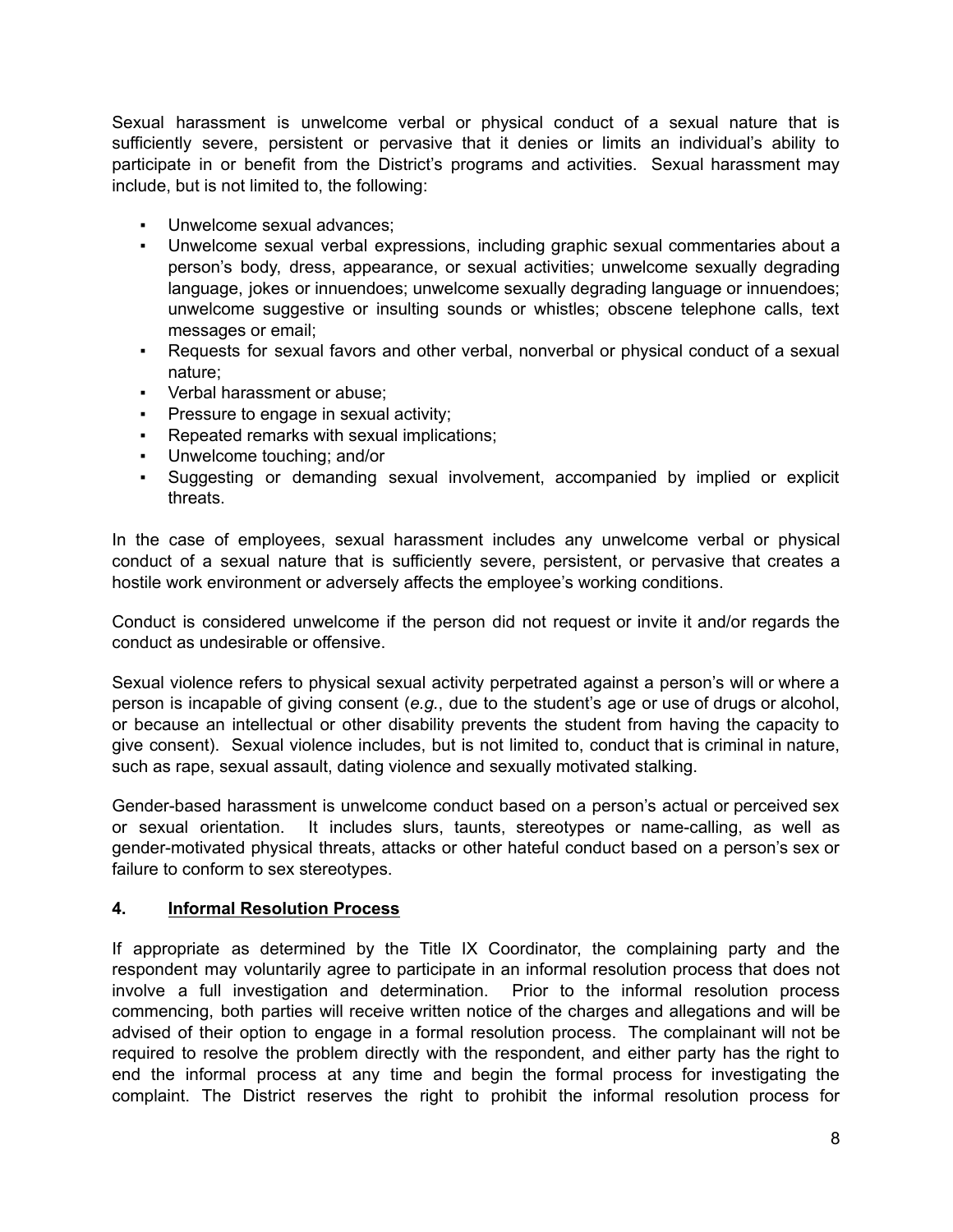Sexual harassment is unwelcome verbal or physical conduct of a sexual nature that is sufficiently severe, persistent or pervasive that it denies or limits an individual's ability to participate in or benefit from the District's programs and activities. Sexual harassment may include, but is not limited to, the following:

- Unwelcome sexual advances;
- Unwelcome sexual verbal expressions, including graphic sexual commentaries about a person's body, dress, appearance, or sexual activities; unwelcome sexually degrading language, jokes or innuendoes; unwelcome sexually degrading language or innuendoes; unwelcome suggestive or insulting sounds or whistles; obscene telephone calls, text messages or email;
- Requests for sexual favors and other verbal, nonverbal or physical conduct of a sexual nature;
- Verbal harassment or abuse;
- **Pressure to engage in sexual activity;**
- Repeated remarks with sexual implications;
- Unwelcome touching; and/or
- Suggesting or demanding sexual involvement, accompanied by implied or explicit threats.

In the case of employees, sexual harassment includes any unwelcome verbal or physical conduct of a sexual nature that is sufficiently severe, persistent, or pervasive that creates a hostile work environment or adversely affects the employee's working conditions.

Conduct is considered unwelcome if the person did not request or invite it and/or regards the conduct as undesirable or offensive.

Sexual violence refers to physical sexual activity perpetrated against a person's will or where a person is incapable of giving consent (*e.g.*, due to the student's age or use of drugs or alcohol, or because an intellectual or other disability prevents the student from having the capacity to give consent). Sexual violence includes, but is not limited to, conduct that is criminal in nature, such as rape, sexual assault, dating violence and sexually motivated stalking.

Gender-based harassment is unwelcome conduct based on a person's actual or perceived sex or sexual orientation. It includes slurs, taunts, stereotypes or name-calling, as well as gender-motivated physical threats, attacks or other hateful conduct based on a person's sex or failure to conform to sex stereotypes.

### **4. Informal Resolution Process**

If appropriate as determined by the Title IX Coordinator, the complaining party and the respondent may voluntarily agree to participate in an informal resolution process that does not involve a full investigation and determination. Prior to the informal resolution process commencing, both parties will receive written notice of the charges and allegations and will be advised of their option to engage in a formal resolution process. The complainant will not be required to resolve the problem directly with the respondent, and either party has the right to end the informal process at any time and begin the formal process for investigating the complaint. The District reserves the right to prohibit the informal resolution process for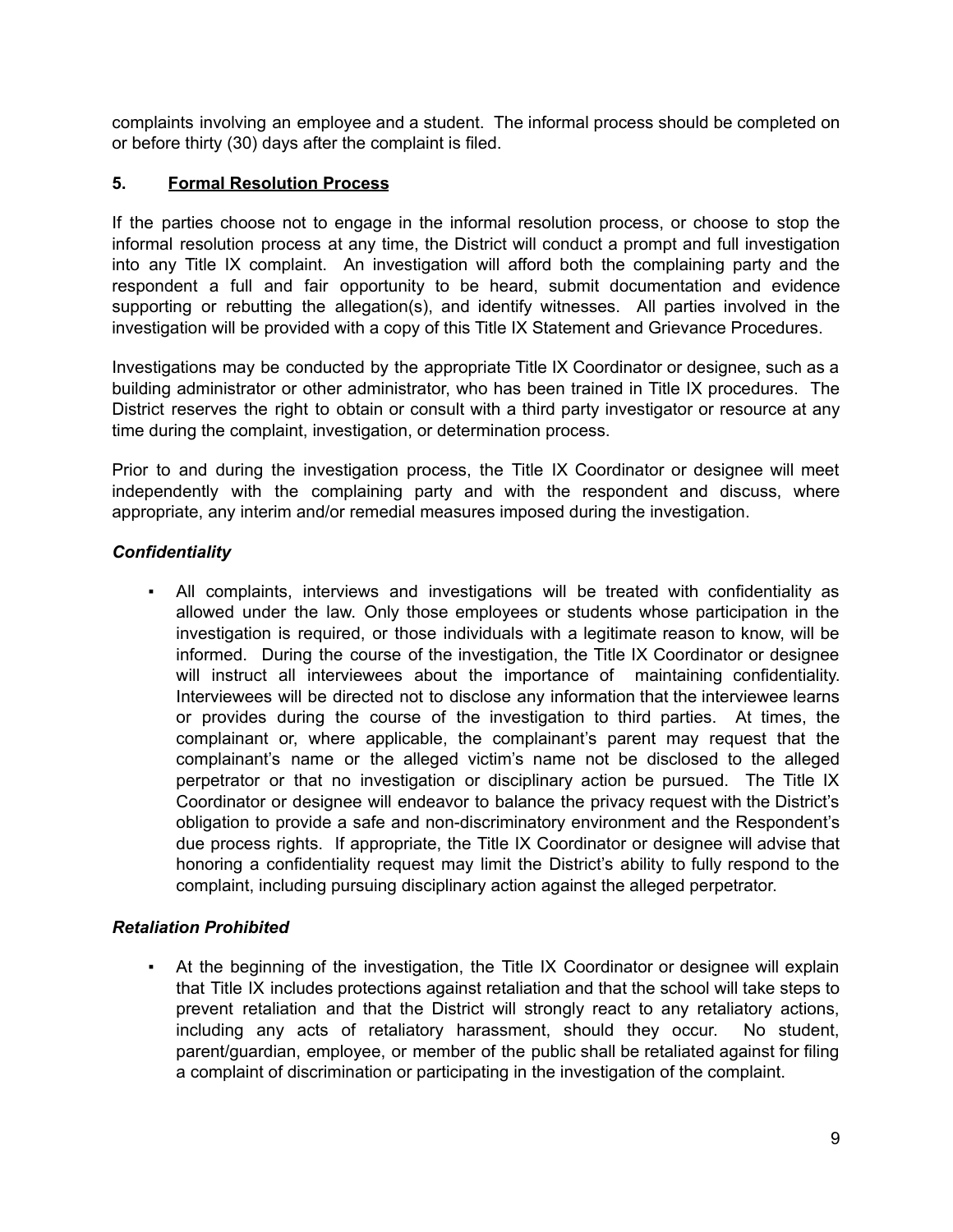complaints involving an employee and a student. The informal process should be completed on or before thirty (30) days after the complaint is filed.

# **5. Formal Resolution Process**

If the parties choose not to engage in the informal resolution process, or choose to stop the informal resolution process at any time, the District will conduct a prompt and full investigation into any Title IX complaint. An investigation will afford both the complaining party and the respondent a full and fair opportunity to be heard, submit documentation and evidence supporting or rebutting the allegation(s), and identify witnesses. All parties involved in the investigation will be provided with a copy of this Title IX Statement and Grievance Procedures.

Investigations may be conducted by the appropriate Title IX Coordinator or designee, such as a building administrator or other administrator, who has been trained in Title IX procedures. The District reserves the right to obtain or consult with a third party investigator or resource at any time during the complaint, investigation, or determination process.

Prior to and during the investigation process, the Title IX Coordinator or designee will meet independently with the complaining party and with the respondent and discuss, where appropriate, any interim and/or remedial measures imposed during the investigation.

# *Confidentiality*

All complaints, interviews and investigations will be treated with confidentiality as allowed under the law. Only those employees or students whose participation in the investigation is required, or those individuals with a legitimate reason to know, will be informed. During the course of the investigation, the Title IX Coordinator or designee will instruct all interviewees about the importance of maintaining confidentiality. Interviewees will be directed not to disclose any information that the interviewee learns or provides during the course of the investigation to third parties. At times, the complainant or, where applicable, the complainant's parent may request that the complainant's name or the alleged victim's name not be disclosed to the alleged perpetrator or that no investigation or disciplinary action be pursued. The Title IX Coordinator or designee will endeavor to balance the privacy request with the District's obligation to provide a safe and non-discriminatory environment and the Respondent's due process rights. If appropriate, the Title IX Coordinator or designee will advise that honoring a confidentiality request may limit the District's ability to fully respond to the complaint, including pursuing disciplinary action against the alleged perpetrator.

# *Retaliation Prohibited*

At the beginning of the investigation, the Title IX Coordinator or designee will explain that Title IX includes protections against retaliation and that the school will take steps to prevent retaliation and that the District will strongly react to any retaliatory actions, including any acts of retaliatory harassment, should they occur. No student, parent/guardian, employee, or member of the public shall be retaliated against for filing a complaint of discrimination or participating in the investigation of the complaint.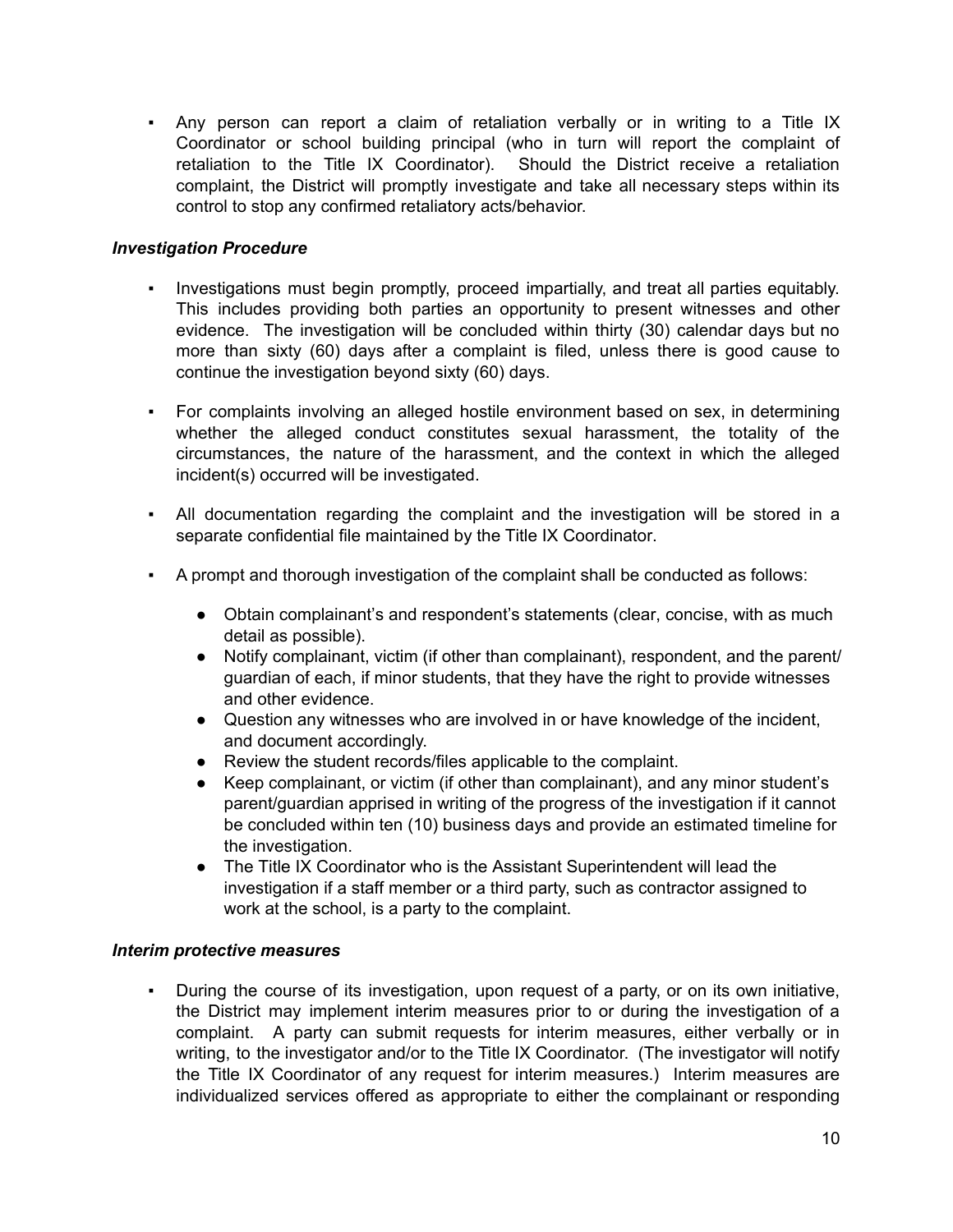▪ Any person can report a claim of retaliation verbally or in writing to a Title IX Coordinator or school building principal (who in turn will report the complaint of retaliation to the Title IX Coordinator). Should the District receive a retaliation complaint, the District will promptly investigate and take all necessary steps within its control to stop any confirmed retaliatory acts/behavior.

## *Investigation Procedure*

- Investigations must begin promptly, proceed impartially, and treat all parties equitably. This includes providing both parties an opportunity to present witnesses and other evidence. The investigation will be concluded within thirty (30) calendar days but no more than sixty (60) days after a complaint is filed, unless there is good cause to continue the investigation beyond sixty (60) days.
- For complaints involving an alleged hostile environment based on sex, in determining whether the alleged conduct constitutes sexual harassment, the totality of the circumstances, the nature of the harassment, and the context in which the alleged incident(s) occurred will be investigated.
- All documentation regarding the complaint and the investigation will be stored in a separate confidential file maintained by the Title IX Coordinator.
- A prompt and thorough investigation of the complaint shall be conducted as follows:
	- Obtain complainant's and respondent's statements (clear, concise, with as much detail as possible).
	- Notify complainant, victim (if other than complainant), respondent, and the parent/ guardian of each, if minor students, that they have the right to provide witnesses and other evidence.
	- Question any witnesses who are involved in or have knowledge of the incident, and document accordingly.
	- Review the student records/files applicable to the complaint.
	- Keep complainant, or victim (if other than complainant), and any minor student's parent/guardian apprised in writing of the progress of the investigation if it cannot be concluded within ten (10) business days and provide an estimated timeline for the investigation.
	- The Title IX Coordinator who is the Assistant Superintendent will lead the investigation if a staff member or a third party, such as contractor assigned to work at the school, is a party to the complaint.

### *Interim protective measures*

▪ During the course of its investigation, upon request of a party, or on its own initiative, the District may implement interim measures prior to or during the investigation of a complaint. A party can submit requests for interim measures, either verbally or in writing, to the investigator and/or to the Title IX Coordinator. (The investigator will notify the Title IX Coordinator of any request for interim measures.) Interim measures are individualized services offered as appropriate to either the complainant or responding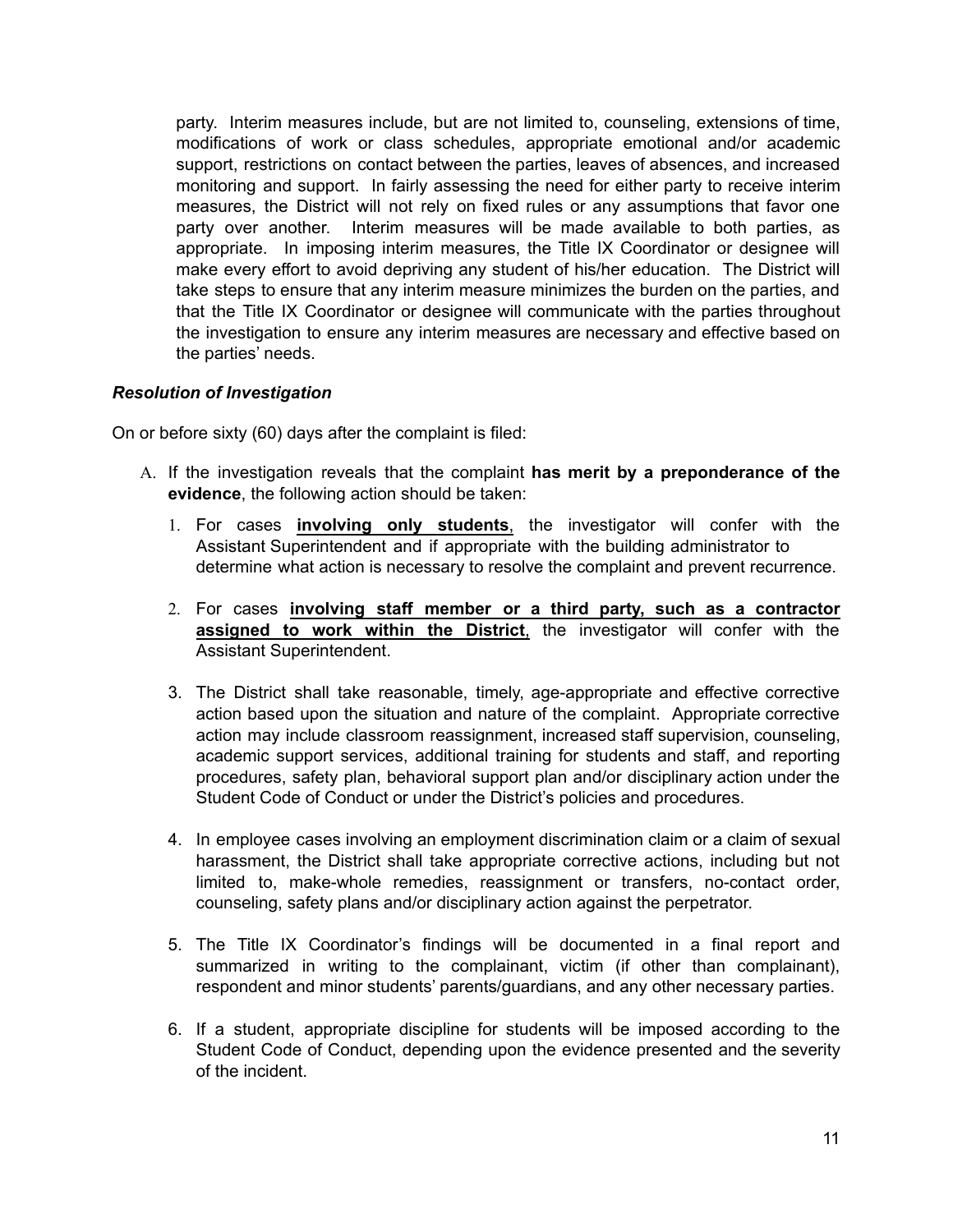party. Interim measures include, but are not limited to, counseling, extensions of time, modifications of work or class schedules, appropriate emotional and/or academic support, restrictions on contact between the parties, leaves of absences, and increased monitoring and support. In fairly assessing the need for either party to receive interim measures, the District will not rely on fixed rules or any assumptions that favor one party over another. Interim measures will be made available to both parties, as appropriate. In imposing interim measures, the Title IX Coordinator or designee will make every effort to avoid depriving any student of his/her education. The District will take steps to ensure that any interim measure minimizes the burden on the parties, and that the Title IX Coordinator or designee will communicate with the parties throughout the investigation to ensure any interim measures are necessary and effective based on the parties' needs.

### *Resolution of Investigation*

On or before sixty (60) days after the complaint is filed:

- A. If the investigation reveals that the complaint **has merit by a preponderance of the evidence**, the following action should be taken:
	- 1. For cases **involving only students**, the investigator will confer with the Assistant Superintendent and if appropriate with the building administrator to determine what action is necessary to resolve the complaint and prevent recurrence.
	- 2. For cases **involving staff member or a third party, such as a contractor assigned to work within the District**, the investigator will confer with the Assistant Superintendent.
	- 3. The District shall take reasonable, timely, age-appropriate and effective corrective action based upon the situation and nature of the complaint. Appropriate corrective action may include classroom reassignment, increased staff supervision, counseling, academic support services, additional training for students and staff, and reporting procedures, safety plan, behavioral support plan and/or disciplinary action under the Student Code of Conduct or under the District's policies and procedures.
	- 4. In employee cases involving an employment discrimination claim or a claim of sexual harassment, the District shall take appropriate corrective actions, including but not limited to, make-whole remedies, reassignment or transfers, no-contact order, counseling, safety plans and/or disciplinary action against the perpetrator.
	- 5. The Title IX Coordinator's findings will be documented in a final report and summarized in writing to the complainant, victim (if other than complainant), respondent and minor students' parents/guardians, and any other necessary parties.
	- 6. If a student, appropriate discipline for students will be imposed according to the Student Code of Conduct, depending upon the evidence presented and the severity of the incident.